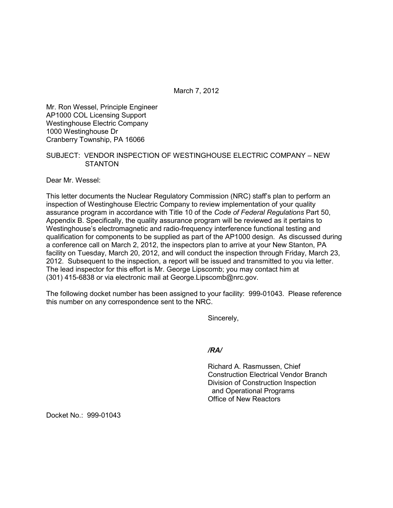March 7, 2012

Mr. Ron Wessel, Principle Engineer AP1000 COL Licensing Support Westinghouse Electric Company 1000 Westinghouse Dr Cranberry Township, PA 16066

## SUBJECT: VENDOR INSPECTION OF WESTINGHOUSE ELECTRIC COMPANY – NEW **STANTON**

Dear Mr. Wessel:

This letter documents the Nuclear Regulatory Commission (NRC) staff's plan to perform an inspection of Westinghouse Electric Company to review implementation of your quality assurance program in accordance with Title 10 of the *Code of Federal Regulations* Part 50, Appendix B. Specifically, the quality assurance program will be reviewed as it pertains to Westinghouse's electromagnetic and radio-frequency interference functional testing and qualification for components to be supplied as part of the AP1000 design. As discussed during a conference call on March 2, 2012, the inspectors plan to arrive at your New Stanton, PA facility on Tuesday, March 20, 2012, and will conduct the inspection through Friday, March 23, 2012. Subsequent to the inspection, a report will be issued and transmitted to you via letter. The lead inspector for this effort is Mr. George Lipscomb; you may contact him at (301) 415-6838 or via electronic mail at George.Lipscomb@nrc.gov.

The following docket number has been assigned to your facility: 999-01043. Please reference this number on any correspondence sent to the NRC.

Sincerely,

*/RA/* 

Richard A. Rasmussen, Chief Construction Electrical Vendor Branch Division of Construction Inspection and Operational Programs Office of New Reactors

Docket No.: 999-01043